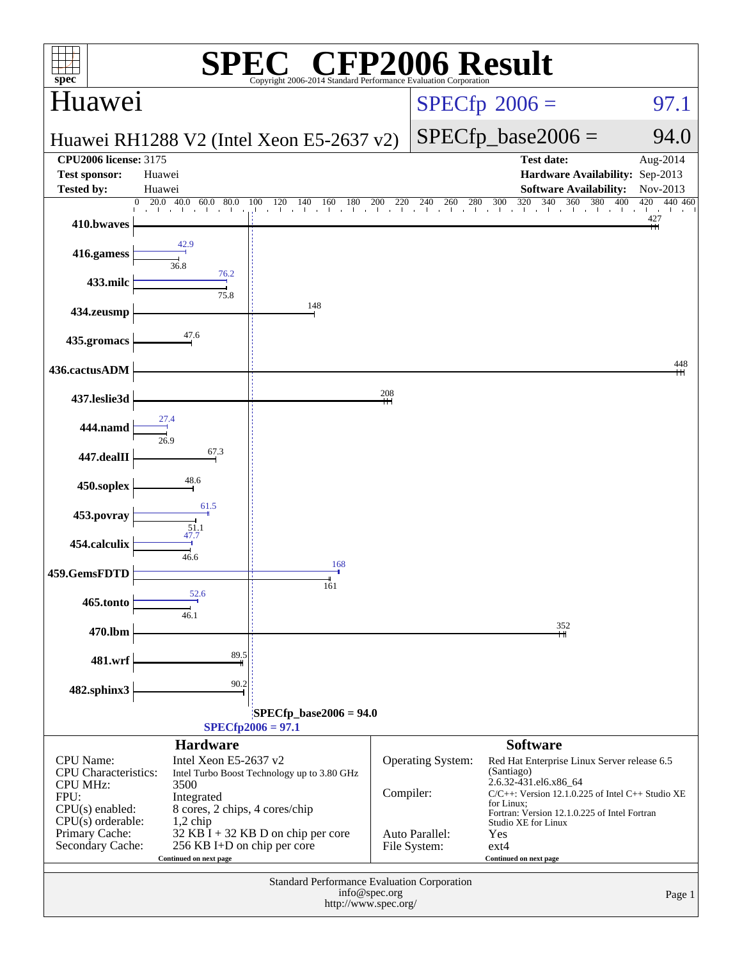| $\mathbb{C}^{\circ}$ CFP2006 Result<br>spec®<br>Copyright 2006-2014 Standard Performance Evaluation Corporation                                                                    |                                                                     |                                             |               |                                |                                                                                                                                                            |                                   |  |
|------------------------------------------------------------------------------------------------------------------------------------------------------------------------------------|---------------------------------------------------------------------|---------------------------------------------|---------------|--------------------------------|------------------------------------------------------------------------------------------------------------------------------------------------------------|-----------------------------------|--|
| Huawei                                                                                                                                                                             |                                                                     |                                             |               |                                | $SPECfp^{\circledast}2006 =$                                                                                                                               | 97.1                              |  |
|                                                                                                                                                                                    |                                                                     | Huawei RH1288 V2 (Intel Xeon E5-2637 v2)    |               |                                | $SPECfp\_base2006 =$                                                                                                                                       | 94.0                              |  |
| <b>CPU2006</b> license: 3175<br><b>Test sponsor:</b>                                                                                                                               | Huawei                                                              |                                             |               |                                | <b>Test date:</b><br>Hardware Availability: Sep-2013                                                                                                       | Aug-2014                          |  |
| <b>Tested by:</b>                                                                                                                                                                  | Huawei<br>20.0<br>40.0<br>$\theta$                                  |                                             |               |                                | <b>Software Availability:</b><br>320<br>380                                                                                                                | Nov-2013<br>420<br>440 460<br>400 |  |
| 410.bwaves                                                                                                                                                                         |                                                                     |                                             |               |                                |                                                                                                                                                            | $\mathbf{1}$<br>427               |  |
| 416.gamess                                                                                                                                                                         | 42.9<br>36.8                                                        |                                             |               |                                |                                                                                                                                                            |                                   |  |
| 433.milc                                                                                                                                                                           | 76.2<br>75.8                                                        |                                             |               |                                |                                                                                                                                                            |                                   |  |
| 434.zeusmp                                                                                                                                                                         |                                                                     | 148                                         |               |                                |                                                                                                                                                            |                                   |  |
| 435.gromacs                                                                                                                                                                        | 47.6                                                                |                                             |               |                                |                                                                                                                                                            |                                   |  |
| 436.cactusADM                                                                                                                                                                      |                                                                     |                                             |               |                                |                                                                                                                                                            | 448                               |  |
| 437.leslie3d                                                                                                                                                                       |                                                                     |                                             | 208           |                                |                                                                                                                                                            |                                   |  |
| 444.namd                                                                                                                                                                           | 27.4<br>26.9                                                        |                                             |               |                                |                                                                                                                                                            |                                   |  |
| 447.dealII                                                                                                                                                                         | 67.3                                                                |                                             |               |                                |                                                                                                                                                            |                                   |  |
| 450.soplex                                                                                                                                                                         | 48.6                                                                |                                             |               |                                |                                                                                                                                                            |                                   |  |
| 453.povray                                                                                                                                                                         | 61.5<br>$\frac{51.1}{47.7}$                                         |                                             |               |                                |                                                                                                                                                            |                                   |  |
| 454.calculix                                                                                                                                                                       | 46.6                                                                |                                             |               |                                |                                                                                                                                                            |                                   |  |
| 459.GemsFDTD                                                                                                                                                                       |                                                                     | 168<br>161                                  |               |                                |                                                                                                                                                            |                                   |  |
| 465.tonto                                                                                                                                                                          | 52.6<br>46.1                                                        |                                             |               |                                |                                                                                                                                                            |                                   |  |
| 470.lbm                                                                                                                                                                            |                                                                     |                                             |               |                                | 352                                                                                                                                                        |                                   |  |
| 481.wrf                                                                                                                                                                            | 89.5                                                                |                                             |               |                                |                                                                                                                                                            |                                   |  |
| 482.sphinx3                                                                                                                                                                        | 90.2                                                                |                                             |               |                                |                                                                                                                                                            |                                   |  |
|                                                                                                                                                                                    |                                                                     | $SPECfp\_base2006 = 94.0$                   |               |                                |                                                                                                                                                            |                                   |  |
|                                                                                                                                                                                    | <b>Hardware</b>                                                     | $SPECfp2006 = 97.1$                         |               |                                | <b>Software</b>                                                                                                                                            |                                   |  |
| <b>CPU</b> Name:                                                                                                                                                                   | Intel Xeon E5-2637 v2                                               |                                             |               | <b>Operating System:</b>       | Red Hat Enterprise Linux Server release 6.5                                                                                                                |                                   |  |
| <b>CPU</b> Characteristics:<br>Intel Turbo Boost Technology up to 3.80 GHz<br><b>CPU MHz:</b><br>3500<br>FPU:<br>Integrated<br>$CPU(s)$ enabled:<br>8 cores, 2 chips, 4 cores/chip |                                                                     |                                             | Compiler:     |                                | (Santiago)<br>2.6.32-431.el6.x86_64<br>$C/C++$ : Version 12.1.0.225 of Intel $C++$ Studio XE<br>for Linux:<br>Fortran: Version 12.1.0.225 of Intel Fortran |                                   |  |
| $CPU(s)$ orderable:<br>Primary Cache:<br>Secondary Cache:                                                                                                                          | $1,2$ chip<br>256 KB I+D on chip per core<br>Continued on next page | $32$ KB I + 32 KB D on chip per core        |               | Auto Parallel:<br>File System: | Studio XE for Linux<br>Yes<br>$ext{4}$<br>Continued on next page                                                                                           |                                   |  |
|                                                                                                                                                                                    |                                                                     | Standard Performance Evaluation Corporation | info@spec.org |                                |                                                                                                                                                            | Page 1                            |  |
|                                                                                                                                                                                    |                                                                     | http://www.spec.org/                        |               |                                |                                                                                                                                                            |                                   |  |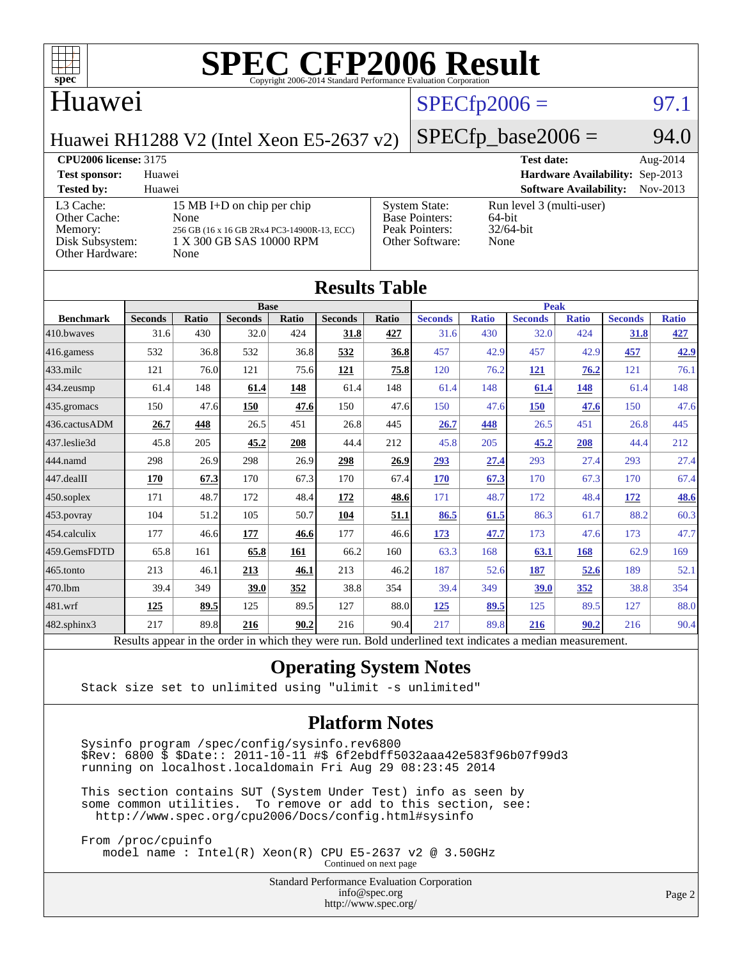

#### Huawei

#### $SPECTp2006 = 97.1$

Huawei RH1288 V2 (Intel Xeon E5-2637 v2)

#### $SPECfp\_base2006 = 94.0$

#### **[CPU2006 license:](http://www.spec.org/auto/cpu2006/Docs/result-fields.html#CPU2006license)** 3175 **[Test date:](http://www.spec.org/auto/cpu2006/Docs/result-fields.html#Testdate)** Aug-2014 **[Test sponsor:](http://www.spec.org/auto/cpu2006/Docs/result-fields.html#Testsponsor)** Huawei **[Hardware Availability:](http://www.spec.org/auto/cpu2006/Docs/result-fields.html#HardwareAvailability)** Sep-2013 **[Tested by:](http://www.spec.org/auto/cpu2006/Docs/result-fields.html#Testedby)** Huawei **[Software Availability:](http://www.spec.org/auto/cpu2006/Docs/result-fields.html#SoftwareAvailability)** Nov-2013 [L3 Cache:](http://www.spec.org/auto/cpu2006/Docs/result-fields.html#L3Cache) 15 MB I+D on chip per chip<br>Other Cache: None [Other Cache:](http://www.spec.org/auto/cpu2006/Docs/result-fields.html#OtherCache) [Memory:](http://www.spec.org/auto/cpu2006/Docs/result-fields.html#Memory) 256 GB (16 x 16 GB 2Rx4 PC3-14900R-13, ECC) [Disk Subsystem:](http://www.spec.org/auto/cpu2006/Docs/result-fields.html#DiskSubsystem) 1 X 300 GB SAS 10000 RPM [Other Hardware:](http://www.spec.org/auto/cpu2006/Docs/result-fields.html#OtherHardware) None [System State:](http://www.spec.org/auto/cpu2006/Docs/result-fields.html#SystemState) Run level 3 (multi-user)<br>Base Pointers: 64-bit [Base Pointers:](http://www.spec.org/auto/cpu2006/Docs/result-fields.html#BasePointers) 64-bit<br>Peak Pointers: 32/64-bit [Peak Pointers:](http://www.spec.org/auto/cpu2006/Docs/result-fields.html#PeakPointers) [Other Software:](http://www.spec.org/auto/cpu2006/Docs/result-fields.html#OtherSoftware) None

| <b>Results Table</b> |                                                                                                          |              |                |            |                |       |                |              |                |              |                |              |
|----------------------|----------------------------------------------------------------------------------------------------------|--------------|----------------|------------|----------------|-------|----------------|--------------|----------------|--------------|----------------|--------------|
|                      |                                                                                                          | <b>Base</b>  |                |            |                |       | <b>Peak</b>    |              |                |              |                |              |
| <b>Benchmark</b>     | <b>Seconds</b>                                                                                           | <b>Ratio</b> | <b>Seconds</b> | Ratio      | <b>Seconds</b> | Ratio | <b>Seconds</b> | <b>Ratio</b> | <b>Seconds</b> | <b>Ratio</b> | <b>Seconds</b> | <b>Ratio</b> |
| 410.bwayes           | 31.6                                                                                                     | 430          | 32.0           | 424        | 31.8           | 427   | 31.6           | 430          | 32.0           | 424          | 31.8           | 427          |
| 416.gamess           | 532                                                                                                      | 36.8         | 532            | 36.8       | 532            | 36.8  | 457            | 42.9         | 457            | 42.9         | 457            | 42.9         |
| $433$ .milc          | 121                                                                                                      | 76.0         | 121            | 75.6       | 121            | 75.8  | 120            | 76.2         | 121            | 76.2         | 121            | 76.1         |
| 434.zeusmp           | 61.4                                                                                                     | 148          | 61.4           | <u>148</u> | 61.4           | 148   | 61.4           | 148          | 61.4           | <b>148</b>   | 61.4           | 148          |
| 435.gromacs          | 150                                                                                                      | 47.6         | 150            | 47.6       | 150            | 47.6  | 150            | 47.6         | 150            | 47.6         | 150            | 47.6         |
| 436.cactusADM        | 26.7                                                                                                     | 448          | 26.5           | 451        | 26.8           | 445   | 26.7           | 448          | 26.5           | 451          | 26.8           | 445          |
| 437.leslie3d         | 45.8                                                                                                     | 205          | 45.2           | 208        | 44.4           | 212   | 45.8           | 205          | 45.2           | 208          | 44.4           | 212          |
| 444.namd             | 298                                                                                                      | 26.9         | 298            | 26.9       | 298            | 26.9  | 293            | 27.4         | 293            | 27.4         | 293            | 27.4         |
| 447.dealII           | 170                                                                                                      | 67.3         | 170            | 67.3       | 170            | 67.4  | <b>170</b>     | 67.3         | 170            | 67.3         | 170            | 67.4         |
| 450.soplex           | 171                                                                                                      | 48.7         | 172            | 48.4       | 172            | 48.6  | 171            | 48.7         | 172            | 48.4         | 172            | <b>48.6</b>  |
| 453.povray           | 104                                                                                                      | 51.2         | 105            | 50.7       | 104            | 51.1  | 86.5           | 61.5         | 86.3           | 61.7         | 88.2           | 60.3         |
| 454.calculix         | 177                                                                                                      | 46.6         | 177            | 46.6       | 177            | 46.6  | 173            | 47.7         | 173            | 47.6         | 173            | 47.7         |
| 459.GemsFDTD         | 65.8                                                                                                     | 161          | 65.8           | 161        | 66.2           | 160   | 63.3           | 168          | 63.1           | 168          | 62.9           | 169          |
| 465.tonto            | 213                                                                                                      | 46.1         | 213            | 46.1       | 213            | 46.2  | 187            | 52.6         | 187            | 52.6         | 189            | 52.1         |
| 470.1bm              | 39.4                                                                                                     | 349          | 39.0           | 352        | 38.8           | 354   | 39.4           | 349          | 39.0           | 352          | 38.8           | 354          |
| 481.wrf              | 125                                                                                                      | 89.5         | 125            | 89.5       | 127            | 88.0  | <u>125</u>     | 89.5         | 125            | 89.5         | 127            | 88.0         |
| $482$ .sphinx $3$    | 217                                                                                                      | 89.8         | 216            | 90.2       | 216            | 90.4  | 217            | 89.8         | 216            | 90.2         | 216            | 90.4         |
|                      | Results appear in the order in which they were run. Bold underlined text indicates a median measurement. |              |                |            |                |       |                |              |                |              |                |              |

#### **[Operating System Notes](http://www.spec.org/auto/cpu2006/Docs/result-fields.html#OperatingSystemNotes)**

Stack size set to unlimited using "ulimit -s unlimited"

#### **[Platform Notes](http://www.spec.org/auto/cpu2006/Docs/result-fields.html#PlatformNotes)**

 Sysinfo program /spec/config/sysinfo.rev6800 \$Rev: 6800 \$ \$Date:: 2011-10-11 #\$ 6f2ebdff5032aaa42e583f96b07f99d3 running on localhost.localdomain Fri Aug 29 08:23:45 2014

 This section contains SUT (System Under Test) info as seen by some common utilities. To remove or add to this section, see: <http://www.spec.org/cpu2006/Docs/config.html#sysinfo>

 From /proc/cpuinfo model name : Intel(R) Xeon(R) CPU E5-2637 v2 @ 3.50GHz Continued on next page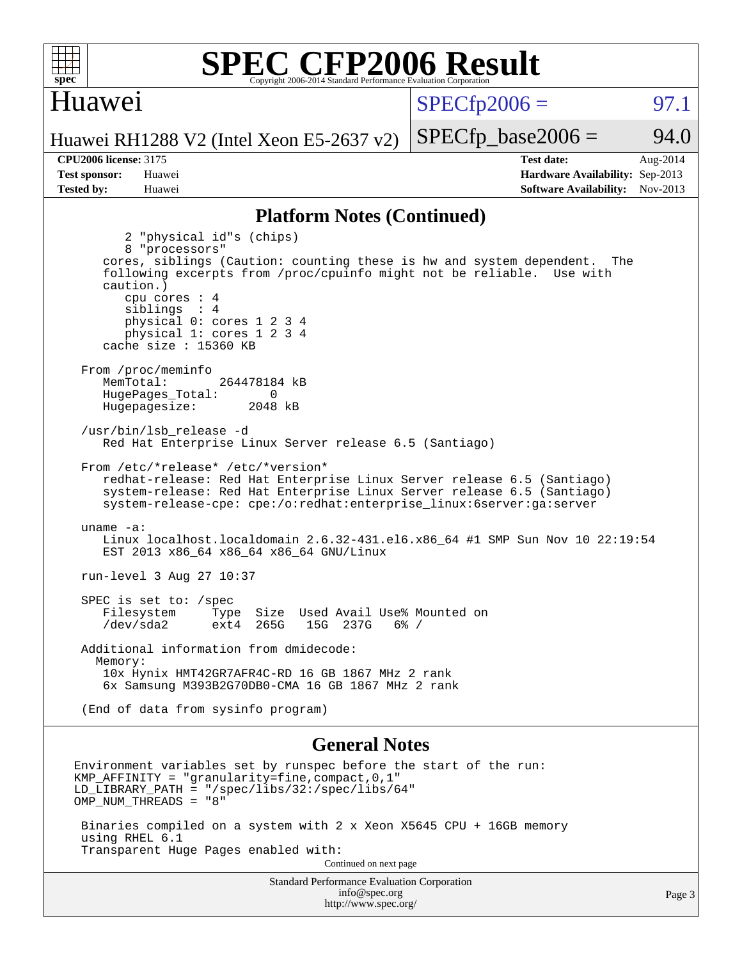

#### Huawei

 $SPECTp2006 =$  97.1

Huawei RH1288 V2 (Intel Xeon E5-2637 v2)

**[Tested by:](http://www.spec.org/auto/cpu2006/Docs/result-fields.html#Testedby)** Huawei **[Software Availability:](http://www.spec.org/auto/cpu2006/Docs/result-fields.html#SoftwareAvailability)** Nov-2013

**[CPU2006 license:](http://www.spec.org/auto/cpu2006/Docs/result-fields.html#CPU2006license)** 3175 **[Test date:](http://www.spec.org/auto/cpu2006/Docs/result-fields.html#Testdate)** Aug-2014 **[Test sponsor:](http://www.spec.org/auto/cpu2006/Docs/result-fields.html#Testsponsor)** Huawei **[Hardware Availability:](http://www.spec.org/auto/cpu2006/Docs/result-fields.html#HardwareAvailability)** Sep-2013

 $SPECTp\_base2006 = 94.0$ 

#### **[Platform Notes \(Continued\)](http://www.spec.org/auto/cpu2006/Docs/result-fields.html#PlatformNotes)**

 2 "physical id"s (chips) 8 "processors" cores, siblings (Caution: counting these is hw and system dependent. The following excerpts from /proc/cpuinfo might not be reliable. Use with caution.) cpu cores : 4 siblings : 4 physical 0: cores 1 2 3 4 physical 1: cores 1 2 3 4 cache size : 15360 KB From /proc/meminfo MemTotal: 264478184 kB HugePages\_Total: 0<br>Hugepagesize: 2048 kB Hugepagesize: /usr/bin/lsb\_release -d Red Hat Enterprise Linux Server release 6.5 (Santiago) From /etc/\*release\* /etc/\*version\* redhat-release: Red Hat Enterprise Linux Server release 6.5 (Santiago) system-release: Red Hat Enterprise Linux Server release 6.5 (Santiago) system-release-cpe: cpe:/o:redhat:enterprise\_linux:6server:ga:server uname -a: Linux localhost.localdomain 2.6.32-431.el6.x86\_64 #1 SMP Sun Nov 10 22:19:54 EST 2013 x86\_64 x86\_64 x86\_64 GNU/Linux run-level 3 Aug 27 10:37 SPEC is set to: /spec Filesystem Type Size Used Avail Use% Mounted on<br>
/dev/sda2 ext4 265G 15G 237G 6% / /dev/sda2 ext4 265G 15G 237G 6% / Additional information from dmidecode: Memory: 10x Hynix HMT42GR7AFR4C-RD 16 GB 1867 MHz 2 rank 6x Samsung M393B2G70DB0-CMA 16 GB 1867 MHz 2 rank (End of data from sysinfo program) **[General Notes](http://www.spec.org/auto/cpu2006/Docs/result-fields.html#GeneralNotes)** Environment variables set by runspec before the start of the run: KMP\_AFFINITY = "granularity=fine,compact,0,1" LD LIBRARY PATH = "/spec/libs/32:/spec/libs/64" OMP\_NUM\_THREADS = "8"

 Binaries compiled on a system with 2 x Xeon X5645 CPU + 16GB memory using RHEL 6.1 Transparent Huge Pages enabled with:

Continued on next page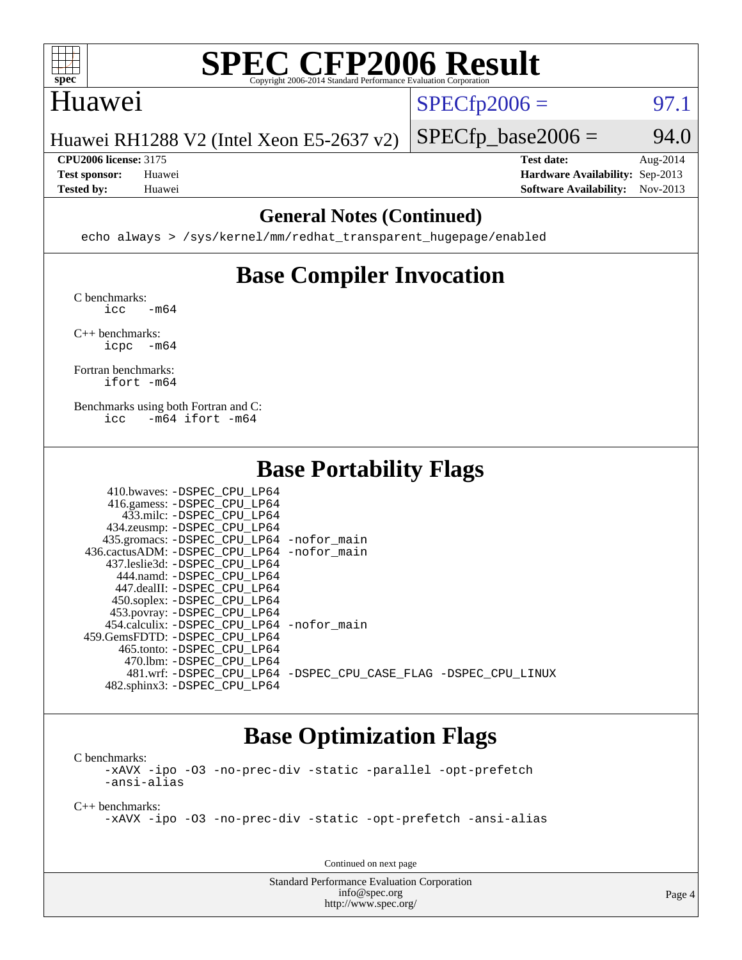

#### Huawei

 $SPECTp2006 = 97.1$ 

Huawei RH1288 V2 (Intel Xeon E5-2637 v2)

 $SPECfp\_base2006 = 94.0$ **[CPU2006 license:](http://www.spec.org/auto/cpu2006/Docs/result-fields.html#CPU2006license)** 3175 **[Test date:](http://www.spec.org/auto/cpu2006/Docs/result-fields.html#Testdate)** Aug-2014

**[Test sponsor:](http://www.spec.org/auto/cpu2006/Docs/result-fields.html#Testsponsor)** Huawei **[Hardware Availability:](http://www.spec.org/auto/cpu2006/Docs/result-fields.html#HardwareAvailability)** Sep-2013 **[Tested by:](http://www.spec.org/auto/cpu2006/Docs/result-fields.html#Testedby)** Huawei **[Software Availability:](http://www.spec.org/auto/cpu2006/Docs/result-fields.html#SoftwareAvailability)** Nov-2013

#### **[General Notes \(Continued\)](http://www.spec.org/auto/cpu2006/Docs/result-fields.html#GeneralNotes)**

echo always > /sys/kernel/mm/redhat\_transparent\_hugepage/enabled

### **[Base Compiler Invocation](http://www.spec.org/auto/cpu2006/Docs/result-fields.html#BaseCompilerInvocation)**

[C benchmarks](http://www.spec.org/auto/cpu2006/Docs/result-fields.html#Cbenchmarks):  $\text{icc}$   $-\text{m64}$ 

[C++ benchmarks:](http://www.spec.org/auto/cpu2006/Docs/result-fields.html#CXXbenchmarks) [icpc -m64](http://www.spec.org/cpu2006/results/res2014q3/cpu2006-20140901-31113.flags.html#user_CXXbase_intel_icpc_64bit_bedb90c1146cab66620883ef4f41a67e)

[Fortran benchmarks](http://www.spec.org/auto/cpu2006/Docs/result-fields.html#Fortranbenchmarks): [ifort -m64](http://www.spec.org/cpu2006/results/res2014q3/cpu2006-20140901-31113.flags.html#user_FCbase_intel_ifort_64bit_ee9d0fb25645d0210d97eb0527dcc06e)

[Benchmarks using both Fortran and C](http://www.spec.org/auto/cpu2006/Docs/result-fields.html#BenchmarksusingbothFortranandC): [icc -m64](http://www.spec.org/cpu2006/results/res2014q3/cpu2006-20140901-31113.flags.html#user_CC_FCbase_intel_icc_64bit_0b7121f5ab7cfabee23d88897260401c) [ifort -m64](http://www.spec.org/cpu2006/results/res2014q3/cpu2006-20140901-31113.flags.html#user_CC_FCbase_intel_ifort_64bit_ee9d0fb25645d0210d97eb0527dcc06e)

#### **[Base Portability Flags](http://www.spec.org/auto/cpu2006/Docs/result-fields.html#BasePortabilityFlags)**

| 410.bwaves: -DSPEC CPU LP64                 |                                                                |
|---------------------------------------------|----------------------------------------------------------------|
| 416.gamess: -DSPEC_CPU_LP64                 |                                                                |
| 433.milc: -DSPEC CPU LP64                   |                                                                |
| 434.zeusmp: - DSPEC_CPU_LP64                |                                                                |
| 435.gromacs: -DSPEC_CPU_LP64 -nofor_main    |                                                                |
| 436.cactusADM: -DSPEC CPU LP64 -nofor main  |                                                                |
| 437.leslie3d: -DSPEC CPU LP64               |                                                                |
| 444.namd: -DSPEC CPU LP64                   |                                                                |
| 447.dealII: -DSPEC CPU LP64                 |                                                                |
| 450.soplex: -DSPEC_CPU_LP64                 |                                                                |
| 453.povray: -DSPEC_CPU_LP64                 |                                                                |
| 454.calculix: - DSPEC CPU LP64 - nofor main |                                                                |
| 459.GemsFDTD: -DSPEC CPU LP64               |                                                                |
| 465.tonto: -DSPEC CPU LP64                  |                                                                |
| 470.1bm: - DSPEC CPU LP64                   |                                                                |
|                                             | 481.wrf: -DSPEC CPU_LP64 -DSPEC_CPU_CASE_FLAG -DSPEC_CPU_LINUX |
| 482.sphinx3: -DSPEC_CPU_LP64                |                                                                |

#### **[Base Optimization Flags](http://www.spec.org/auto/cpu2006/Docs/result-fields.html#BaseOptimizationFlags)**

[C benchmarks](http://www.spec.org/auto/cpu2006/Docs/result-fields.html#Cbenchmarks): [-xAVX](http://www.spec.org/cpu2006/results/res2014q3/cpu2006-20140901-31113.flags.html#user_CCbase_f-xAVX) [-ipo](http://www.spec.org/cpu2006/results/res2014q3/cpu2006-20140901-31113.flags.html#user_CCbase_f-ipo) [-O3](http://www.spec.org/cpu2006/results/res2014q3/cpu2006-20140901-31113.flags.html#user_CCbase_f-O3) [-no-prec-div](http://www.spec.org/cpu2006/results/res2014q3/cpu2006-20140901-31113.flags.html#user_CCbase_f-no-prec-div) [-static](http://www.spec.org/cpu2006/results/res2014q3/cpu2006-20140901-31113.flags.html#user_CCbase_f-static) [-parallel](http://www.spec.org/cpu2006/results/res2014q3/cpu2006-20140901-31113.flags.html#user_CCbase_f-parallel) [-opt-prefetch](http://www.spec.org/cpu2006/results/res2014q3/cpu2006-20140901-31113.flags.html#user_CCbase_f-opt-prefetch) [-ansi-alias](http://www.spec.org/cpu2006/results/res2014q3/cpu2006-20140901-31113.flags.html#user_CCbase_f-ansi-alias)

[C++ benchmarks:](http://www.spec.org/auto/cpu2006/Docs/result-fields.html#CXXbenchmarks)

[-xAVX](http://www.spec.org/cpu2006/results/res2014q3/cpu2006-20140901-31113.flags.html#user_CXXbase_f-xAVX) [-ipo](http://www.spec.org/cpu2006/results/res2014q3/cpu2006-20140901-31113.flags.html#user_CXXbase_f-ipo) [-O3](http://www.spec.org/cpu2006/results/res2014q3/cpu2006-20140901-31113.flags.html#user_CXXbase_f-O3) [-no-prec-div](http://www.spec.org/cpu2006/results/res2014q3/cpu2006-20140901-31113.flags.html#user_CXXbase_f-no-prec-div) [-static](http://www.spec.org/cpu2006/results/res2014q3/cpu2006-20140901-31113.flags.html#user_CXXbase_f-static) [-opt-prefetch](http://www.spec.org/cpu2006/results/res2014q3/cpu2006-20140901-31113.flags.html#user_CXXbase_f-opt-prefetch) [-ansi-alias](http://www.spec.org/cpu2006/results/res2014q3/cpu2006-20140901-31113.flags.html#user_CXXbase_f-ansi-alias)

Continued on next page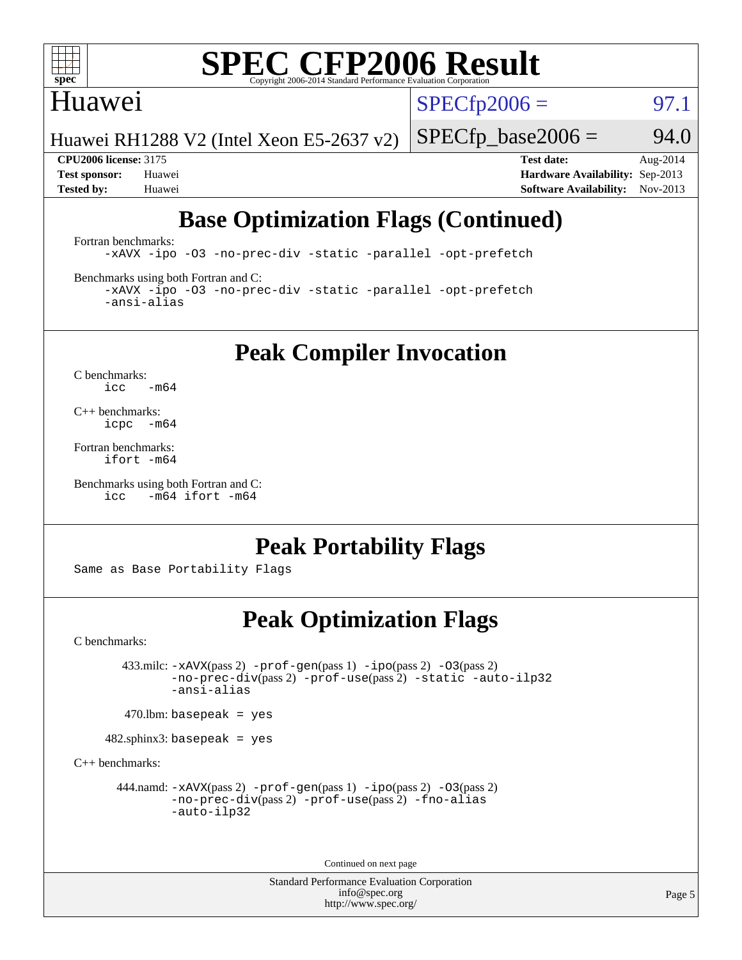

#### Huawei

 $SPECTp2006 =$  97.1

Huawei RH1288 V2 (Intel Xeon E5-2637 v2)

 $SPECfp\_base2006 = 94.0$ 

**[CPU2006 license:](http://www.spec.org/auto/cpu2006/Docs/result-fields.html#CPU2006license)** 3175 **[Test date:](http://www.spec.org/auto/cpu2006/Docs/result-fields.html#Testdate)** Aug-2014 **[Test sponsor:](http://www.spec.org/auto/cpu2006/Docs/result-fields.html#Testsponsor)** Huawei **[Hardware Availability:](http://www.spec.org/auto/cpu2006/Docs/result-fields.html#HardwareAvailability)** Sep-2013 **[Tested by:](http://www.spec.org/auto/cpu2006/Docs/result-fields.html#Testedby)** Huawei **[Software Availability:](http://www.spec.org/auto/cpu2006/Docs/result-fields.html#SoftwareAvailability)** Nov-2013

### **[Base Optimization Flags \(Continued\)](http://www.spec.org/auto/cpu2006/Docs/result-fields.html#BaseOptimizationFlags)**

[Fortran benchmarks](http://www.spec.org/auto/cpu2006/Docs/result-fields.html#Fortranbenchmarks):

[-xAVX](http://www.spec.org/cpu2006/results/res2014q3/cpu2006-20140901-31113.flags.html#user_FCbase_f-xAVX) [-ipo](http://www.spec.org/cpu2006/results/res2014q3/cpu2006-20140901-31113.flags.html#user_FCbase_f-ipo) [-O3](http://www.spec.org/cpu2006/results/res2014q3/cpu2006-20140901-31113.flags.html#user_FCbase_f-O3) [-no-prec-div](http://www.spec.org/cpu2006/results/res2014q3/cpu2006-20140901-31113.flags.html#user_FCbase_f-no-prec-div) [-static](http://www.spec.org/cpu2006/results/res2014q3/cpu2006-20140901-31113.flags.html#user_FCbase_f-static) [-parallel](http://www.spec.org/cpu2006/results/res2014q3/cpu2006-20140901-31113.flags.html#user_FCbase_f-parallel) [-opt-prefetch](http://www.spec.org/cpu2006/results/res2014q3/cpu2006-20140901-31113.flags.html#user_FCbase_f-opt-prefetch)

[Benchmarks using both Fortran and C](http://www.spec.org/auto/cpu2006/Docs/result-fields.html#BenchmarksusingbothFortranandC):

[-xAVX](http://www.spec.org/cpu2006/results/res2014q3/cpu2006-20140901-31113.flags.html#user_CC_FCbase_f-xAVX) [-ipo](http://www.spec.org/cpu2006/results/res2014q3/cpu2006-20140901-31113.flags.html#user_CC_FCbase_f-ipo) [-O3](http://www.spec.org/cpu2006/results/res2014q3/cpu2006-20140901-31113.flags.html#user_CC_FCbase_f-O3) [-no-prec-div](http://www.spec.org/cpu2006/results/res2014q3/cpu2006-20140901-31113.flags.html#user_CC_FCbase_f-no-prec-div) [-static](http://www.spec.org/cpu2006/results/res2014q3/cpu2006-20140901-31113.flags.html#user_CC_FCbase_f-static) [-parallel](http://www.spec.org/cpu2006/results/res2014q3/cpu2006-20140901-31113.flags.html#user_CC_FCbase_f-parallel) [-opt-prefetch](http://www.spec.org/cpu2006/results/res2014q3/cpu2006-20140901-31113.flags.html#user_CC_FCbase_f-opt-prefetch) [-ansi-alias](http://www.spec.org/cpu2006/results/res2014q3/cpu2006-20140901-31113.flags.html#user_CC_FCbase_f-ansi-alias)

**[Peak Compiler Invocation](http://www.spec.org/auto/cpu2006/Docs/result-fields.html#PeakCompilerInvocation)**

[C benchmarks](http://www.spec.org/auto/cpu2006/Docs/result-fields.html#Cbenchmarks):  $\text{icc}$  -m64

[C++ benchmarks:](http://www.spec.org/auto/cpu2006/Docs/result-fields.html#CXXbenchmarks) [icpc -m64](http://www.spec.org/cpu2006/results/res2014q3/cpu2006-20140901-31113.flags.html#user_CXXpeak_intel_icpc_64bit_bedb90c1146cab66620883ef4f41a67e)

[Fortran benchmarks](http://www.spec.org/auto/cpu2006/Docs/result-fields.html#Fortranbenchmarks): [ifort -m64](http://www.spec.org/cpu2006/results/res2014q3/cpu2006-20140901-31113.flags.html#user_FCpeak_intel_ifort_64bit_ee9d0fb25645d0210d97eb0527dcc06e)

[Benchmarks using both Fortran and C](http://www.spec.org/auto/cpu2006/Docs/result-fields.html#BenchmarksusingbothFortranandC): [icc -m64](http://www.spec.org/cpu2006/results/res2014q3/cpu2006-20140901-31113.flags.html#user_CC_FCpeak_intel_icc_64bit_0b7121f5ab7cfabee23d88897260401c) [ifort -m64](http://www.spec.org/cpu2006/results/res2014q3/cpu2006-20140901-31113.flags.html#user_CC_FCpeak_intel_ifort_64bit_ee9d0fb25645d0210d97eb0527dcc06e)

#### **[Peak Portability Flags](http://www.spec.org/auto/cpu2006/Docs/result-fields.html#PeakPortabilityFlags)**

Same as Base Portability Flags

#### **[Peak Optimization Flags](http://www.spec.org/auto/cpu2006/Docs/result-fields.html#PeakOptimizationFlags)**

[C benchmarks](http://www.spec.org/auto/cpu2006/Docs/result-fields.html#Cbenchmarks):

 433.milc: [-xAVX](http://www.spec.org/cpu2006/results/res2014q3/cpu2006-20140901-31113.flags.html#user_peakPASS2_CFLAGSPASS2_LDFLAGS433_milc_f-xAVX)(pass 2) [-prof-gen](http://www.spec.org/cpu2006/results/res2014q3/cpu2006-20140901-31113.flags.html#user_peakPASS1_CFLAGSPASS1_LDFLAGS433_milc_prof_gen_e43856698f6ca7b7e442dfd80e94a8fc)(pass 1) [-ipo](http://www.spec.org/cpu2006/results/res2014q3/cpu2006-20140901-31113.flags.html#user_peakPASS2_CFLAGSPASS2_LDFLAGS433_milc_f-ipo)(pass 2) [-O3](http://www.spec.org/cpu2006/results/res2014q3/cpu2006-20140901-31113.flags.html#user_peakPASS2_CFLAGSPASS2_LDFLAGS433_milc_f-O3)(pass 2) [-no-prec-div](http://www.spec.org/cpu2006/results/res2014q3/cpu2006-20140901-31113.flags.html#user_peakPASS2_CFLAGSPASS2_LDFLAGS433_milc_f-no-prec-div)(pass 2) [-prof-use](http://www.spec.org/cpu2006/results/res2014q3/cpu2006-20140901-31113.flags.html#user_peakPASS2_CFLAGSPASS2_LDFLAGS433_milc_prof_use_bccf7792157ff70d64e32fe3e1250b55)(pass 2) [-static](http://www.spec.org/cpu2006/results/res2014q3/cpu2006-20140901-31113.flags.html#user_peakOPTIMIZE433_milc_f-static) [-auto-ilp32](http://www.spec.org/cpu2006/results/res2014q3/cpu2006-20140901-31113.flags.html#user_peakCOPTIMIZE433_milc_f-auto-ilp32) [-ansi-alias](http://www.spec.org/cpu2006/results/res2014q3/cpu2006-20140901-31113.flags.html#user_peakCOPTIMIZE433_milc_f-ansi-alias)

 $470$ .lbm: basepeak = yes

482.sphinx3: basepeak = yes

[C++ benchmarks:](http://www.spec.org/auto/cpu2006/Docs/result-fields.html#CXXbenchmarks)

444.namd:  $-x$ AVX(pass 2)  $-p$ rof-gen(pass 1)  $-p$ po(pass 2)  $-03$ (pass 2) [-no-prec-div](http://www.spec.org/cpu2006/results/res2014q3/cpu2006-20140901-31113.flags.html#user_peakPASS2_CXXFLAGSPASS2_LDFLAGS444_namd_f-no-prec-div)(pass 2) [-prof-use](http://www.spec.org/cpu2006/results/res2014q3/cpu2006-20140901-31113.flags.html#user_peakPASS2_CXXFLAGSPASS2_LDFLAGS444_namd_prof_use_bccf7792157ff70d64e32fe3e1250b55)(pass 2) [-fno-alias](http://www.spec.org/cpu2006/results/res2014q3/cpu2006-20140901-31113.flags.html#user_peakCXXOPTIMIZEOPTIMIZE444_namd_f-no-alias_694e77f6c5a51e658e82ccff53a9e63a) [-auto-ilp32](http://www.spec.org/cpu2006/results/res2014q3/cpu2006-20140901-31113.flags.html#user_peakCXXOPTIMIZE444_namd_f-auto-ilp32)

Continued on next page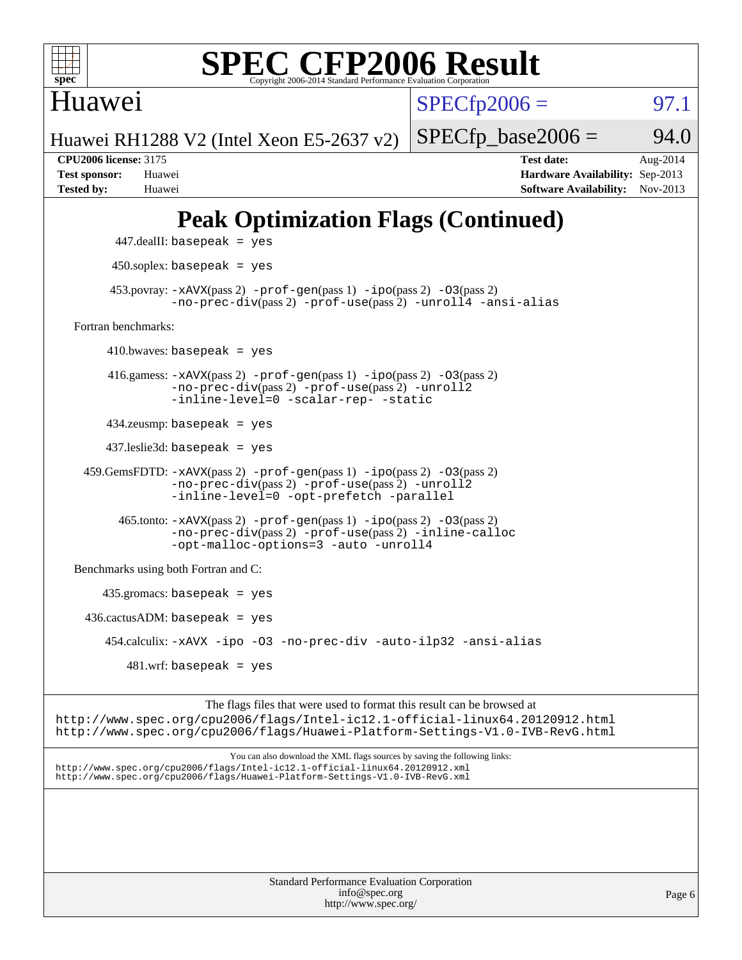

Huawei

 $SPECTp2006 =$  97.1

Huawei RH1288 V2 (Intel Xeon E5-2637 v2)

**[CPU2006 license:](http://www.spec.org/auto/cpu2006/Docs/result-fields.html#CPU2006license)** 3175 **[Test date:](http://www.spec.org/auto/cpu2006/Docs/result-fields.html#Testdate)** Aug-2014 **[Test sponsor:](http://www.spec.org/auto/cpu2006/Docs/result-fields.html#Testsponsor)** Huawei **[Hardware Availability:](http://www.spec.org/auto/cpu2006/Docs/result-fields.html#HardwareAvailability)** Sep-2013 **[Tested by:](http://www.spec.org/auto/cpu2006/Docs/result-fields.html#Testedby)** Huawei **[Software Availability:](http://www.spec.org/auto/cpu2006/Docs/result-fields.html#SoftwareAvailability)** Nov-2013

 $SPECTp\_base2006 = 94.0$ 

## **[Peak Optimization Flags \(Continued\)](http://www.spec.org/auto/cpu2006/Docs/result-fields.html#PeakOptimizationFlags)**



<http://www.spec.org/>